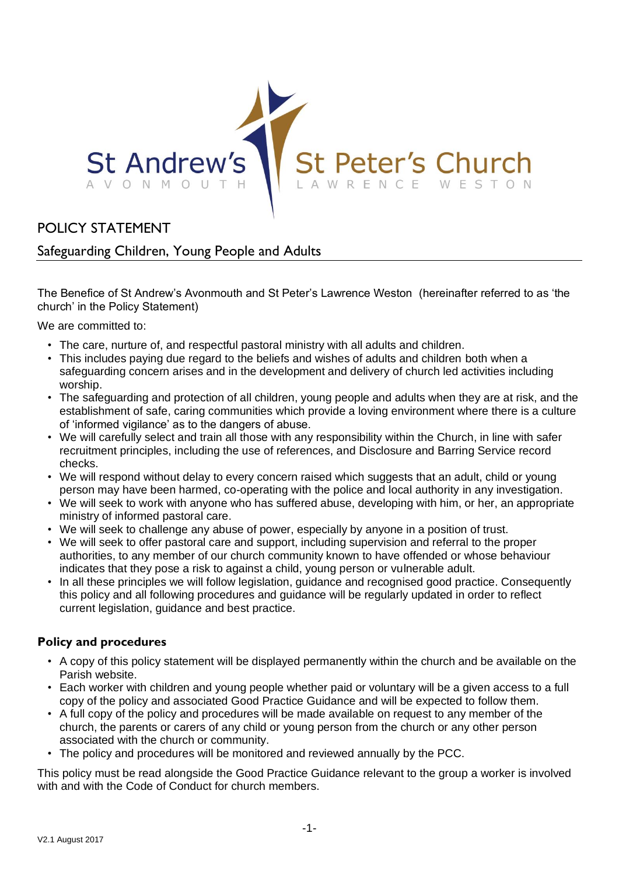

## POLICY STATEMENT

## Safeguarding Children, Young People and Adults

The Benefice of St Andrew's Avonmouth and St Peter's Lawrence Weston (hereinafter referred to as 'the church' in the Policy Statement)

We are committed to:

- The care, nurture of, and respectful pastoral ministry with all adults and children.
- This includes paying due regard to the beliefs and wishes of adults and children both when a safeguarding concern arises and in the development and delivery of church led activities including worship.
- The safeguarding and protection of all children, young people and adults when they are at risk, and the establishment of safe, caring communities which provide a loving environment where there is a culture of 'informed vigilance' as to the dangers of abuse.
- We will carefully select and train all those with any responsibility within the Church, in line with safer recruitment principles, including the use of references, and Disclosure and Barring Service record checks.
- We will respond without delay to every concern raised which suggests that an adult, child or young person may have been harmed, co-operating with the police and local authority in any investigation.
- We will seek to work with anyone who has suffered abuse, developing with him, or her, an appropriate ministry of informed pastoral care.
- We will seek to challenge any abuse of power, especially by anyone in a position of trust.
- We will seek to offer pastoral care and support, including supervision and referral to the proper authorities, to any member of our church community known to have offended or whose behaviour indicates that they pose a risk to against a child, young person or vulnerable adult.
- In all these principles we will follow legislation, guidance and recognised good practice. Consequently this policy and all following procedures and guidance will be regularly updated in order to reflect current legislation, guidance and best practice.

## **Policy and procedures**

- A copy of this policy statement will be displayed permanently within the church and be available on the Parish website.
- Each worker with children and young people whether paid or voluntary will be a given access to a full copy of the policy and associated Good Practice Guidance and will be expected to follow them.
- A full copy of the policy and procedures will be made available on request to any member of the church, the parents or carers of any child or young person from the church or any other person associated with the church or community.
- The policy and procedures will be monitored and reviewed annually by the PCC.

This policy must be read alongside the Good Practice Guidance relevant to the group a worker is involved with and with the Code of Conduct for church members.